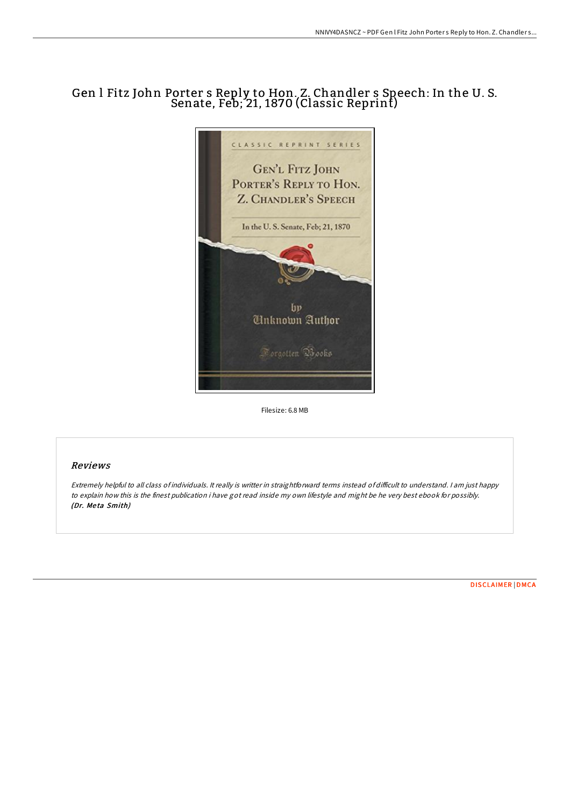# Gen l Fitz John Porter s Reply to Hon. Z. Chandler s Speech: In the U. S. Senate, Feb; 21, 1870 (Classic Reprint)



Filesize: 6.8 MB

### Reviews

Extremely helpful to all class of individuals. It really is writter in straightforward terms instead of difficult to understand. I am just happy to explain how this is the finest publication i have got read inside my own lifestyle and might be he very best ebook for possibly. (Dr. Me ta Smith)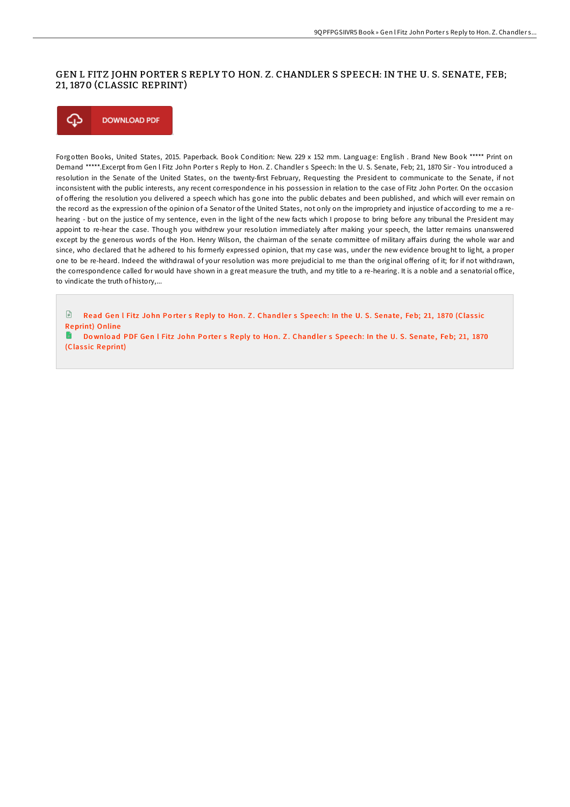## GEN L FITZ JOHN PORTER S REPLY TO HON. Z. CHANDLER S SPEECH: IN THE U. S. SENATE, FEB; 21, 1870 (CLASSIC REPRINT)



Forgotten Books, United States, 2015. Paperback. Book Condition: New. 229 x 152 mm. Language: English . Brand New Book \*\*\*\*\* Print on Demand \*\*\*\*\*.Excerpt from Gen l Fitz John Porter s Reply to Hon. Z. Chandler s Speech: In the U. S. Senate, Feb; 21, 1870 Sir - You introduced a resolution in the Senate of the United States, on the twenty-first February, Requesting the President to communicate to the Senate, if not inconsistent with the public interests, any recent correspondence in his possession in relation to the case of Fitz John Porter. On the occasion of oFering the resolution you delivered a speech which has gone into the public debates and been published, and which will ever remain on the record as the expression of the opinion of a Senator of the United States, not only on the impropriety and injustice of according to me a rehearing - but on the justice of my sentence, even in the light of the new facts which I propose to bring before any tribunal the President may appoint to re-hear the case. Though you withdrew your resolution immediately after making your speech, the latter remains unanswered except by the generous words of the Hon. Henry Wilson, the chairman of the senate committee of military affairs during the whole war and since, who declared that he adhered to his formerly expressed opinion, that my case was, under the new evidence brought to light, a proper one to be re-heard. Indeed the withdrawal of your resolution was more prejudicial to me than the original oFering of it; for if not withdrawn, the correspondence called for would have shown in a great measure the truth, and my title to a re-hearing. It is a noble and a senatorial office, to vindicate the truth of history,...

 $\mathbb{R}$ Read Gen I Fitz John Porter s Reply to Hon. Z. Chandler s Speech: In the U. S. Senate, Feb; 21, 1870 (Classic [Reprint\)](http://almighty24.tech/gen-l-fitz-john-porter-s-reply-to-hon-z-chandler.html) Online

H Download PDF Gen l Fitz John Porter s Reply to Hon. Z. Chandler s Speech: In the U. S. Senate, Feb; 21, 1870 (Classic [Reprint\)](http://almighty24.tech/gen-l-fitz-john-porter-s-reply-to-hon-z-chandler.html)